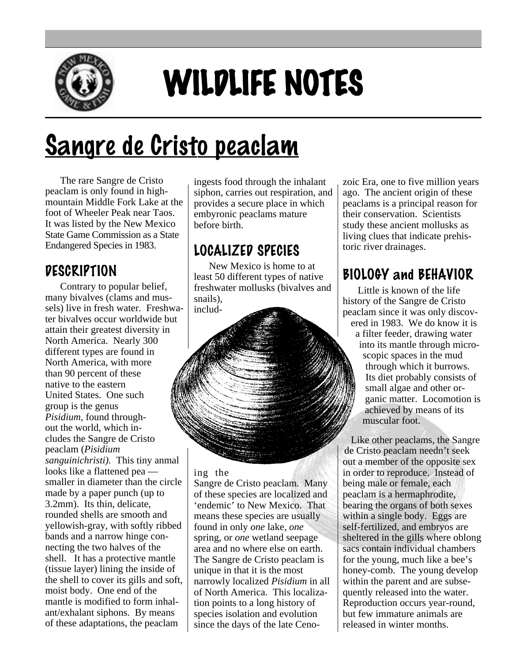

# WILDLIFE NOTES

## <u>Sangre de Cristo peaclam</u>

The rare Sangre de Cristo peaclam is only found in highmountain Middle Fork Lake at the foot of Wheeler Peak near Taos. It was listed by the New Mexico State Game Commission as a State Endangered Species in 1983.

### **DESCRIPTION**

Contrary to popular belief, many bivalves (clams and mussels) live in fresh water. Freshwater bivalves occur worldwide but attain their greatest diversity in North America. Nearly 300 different types are found in North America, with more than 90 percent of these native to the eastern United States. One such group is the genus *Pisidium*, found throughout the world, which includes the Sangre de Cristo peaclam (*Pisidium sanguinichristi).* This tiny anmal looks like a flattened pea smaller in diameter than the circle made by a paper punch (up to 3.2mm). Its thin, delicate, rounded shells are smooth and yellowish-gray, with softly ribbed bands and a narrow hinge connecting the two halves of the shell. It has a protective mantle (tissue layer) lining the inside of the shell to cover its gills and soft, moist body. One end of the mantle is modified to form inhalant/exhalant siphons. By means of these adaptations, the peaclam

ingests food through the inhalant siphon, carries out respiration, and provides a secure place in which embyronic peaclams mature before birth.

## LOCALIZED SPECIES

New Mexico is home to at least 50 different types of native freshwater mollusks (bivalves and snails),

includ-

#### ing the

Sangre de Cristo peaclam. Many of these species are localized and 'endemic' to New Mexico. That means these species are usually found in only *one* lake, *one* spring, or *one* wetland seepage area and no where else on earth. The Sangre de Cristo peaclam is unique in that it is the most narrowly localized *Pisidium* in all of North America. This localization points to a long history of species isolation and evolution since the days of the late Cenozoic Era, one to five million years ago. The ancient origin of these peaclams is a principal reason for their conservation. Scientists study these ancient mollusks as living clues that indicate prehistoric river drainages.

## BIOLOGY and BEHAVIOR

Little is known of the life history of the Sangre de Cristo peaclam since it was only discovered in 1983. We do know it is a filter feeder, drawing water into its mantle through microscopic spaces in the mud through which it burrows. Its diet probably consists of small algae and other organic matter. Locomotion is achieved by means of its muscular foot.

Like other peaclams, the Sangre de Cristo peaclam needn't seek out a member of the opposite sex in order to reproduce. Instead of being male or female, each peaclam is a hermaphrodite, bearing the organs of both sexes within a single body. Eggs are self-fertilized, and embryos are sheltered in the gills where oblong sacs contain individual chambers for the young, much like a bee's honey-comb. The young develop within the parent and are subsequently released into the water. Reproduction occurs year-round, but few immature animals are released in winter months.